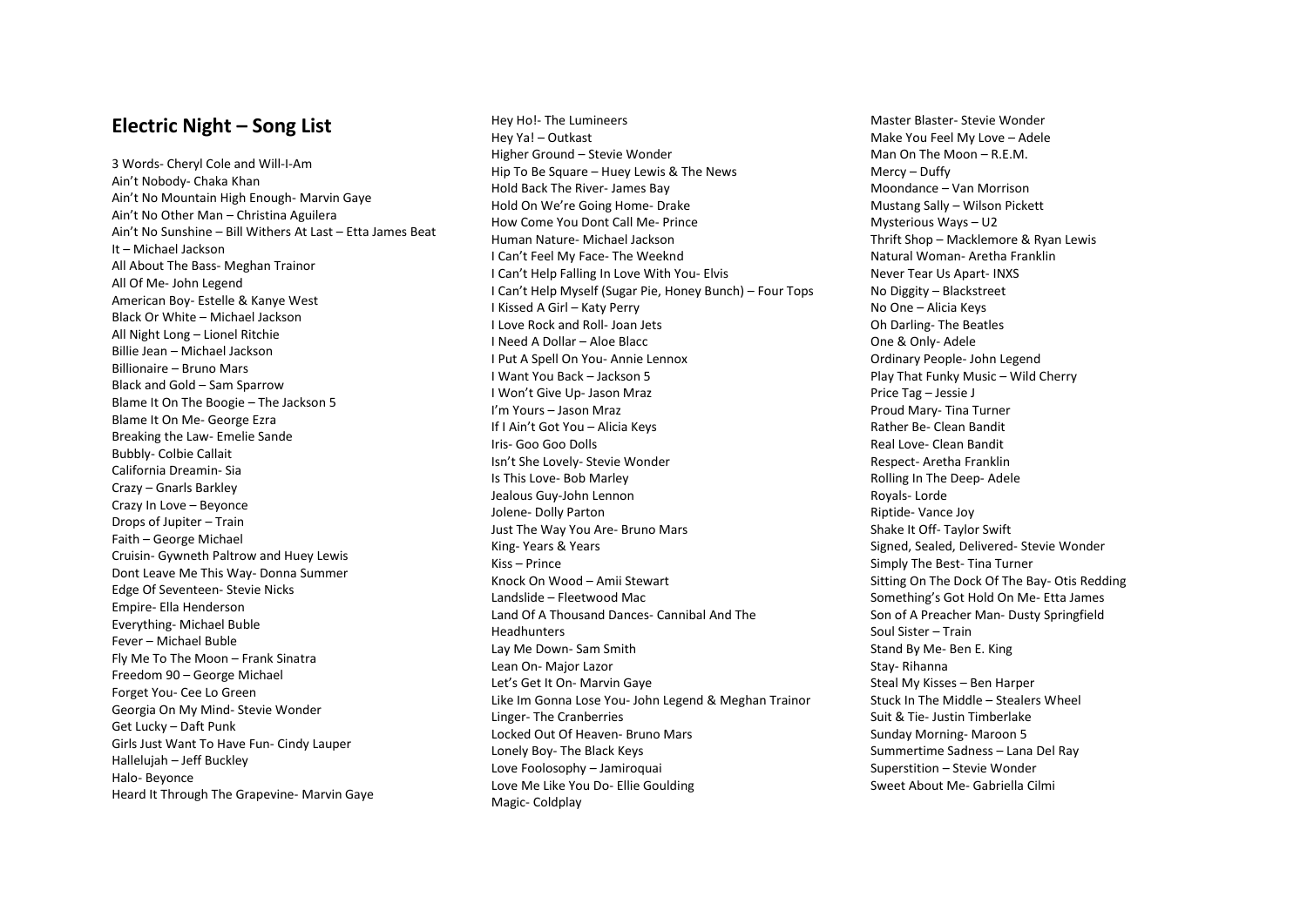## **Electric Night – Song List**

3 Words- Cheryl Cole and Will-I-Am Ain't Nobody- Chaka Khan Ain't No Mountain High Enough- Marvin Gaye Ain't No Other Man – Christina Aguilera Ain't No Sunshine – Bill Withers At Last – Etta James Beat It – Michael Jackson All About The Bass- Meghan Trainor All Of Me- John Legend American Boy- Estelle & Kanye West Black Or White – Michael Jackson All Night Long – Lionel Ritchie Billie Jean – Michael Jackson Billionaire – Bruno Mars Black and Gold – Sam Sparrow Blame It On The Boogie – The Jackson 5 Blame It On Me- George Ezra Breaking the Law- Emelie Sande Bubbly- Colbie Callait California Dreamin- Sia Crazy – Gnarls Barkley Crazy In Love – Beyonce Drops of Jupiter – Train Faith – George Michael Cruisin- Gywneth Paltrow and Huey Lewis Dont Leave Me This Way- Donna Summer Edge Of Seventeen- Stevie Nicks Empire- Ella Henderson Everything- Michael Buble Fever – Michael Buble Fly Me To The Moon – Frank Sinatra Freedom 90 – George Michael Forget You- Cee Lo Green Georgia On My Mind- Stevie Wonder Get Lucky – Daft Punk Girls Just Want To Have Fun- Cindy Lauper Hallelujah – Jeff Buckley Halo- Beyonce Heard It Through The Grapevine- Marvin Gaye

Hey Ho!- The Lumineers Hey Ya! – Outkast Higher Ground – Stevie Wonder Hip To Be Square – Huey Lewis & The News Hold Back The River- James Bay Hold On We're Going Home- Drake How Come You Dont Call Me- Prince Human Nature- Michael Jackson I Can't Feel My Face- The Weeknd I Can't Help Falling In Love With You- Elvis I Can't Help Myself (Sugar Pie, Honey Bunch) – Four Tops I Kissed A Girl – Katy Perry I Love Rock and Roll- Joan Jets I Need A Dollar – Aloe Blacc I Put A Spell On You- Annie Lennox I Want You Back – Jackson 5 I Won't Give Up- Jason Mraz I'm Yours – Jason Mraz If I Ain't Got You – Alicia Keys Iris- Goo Goo Dolls Isn't She Lovely- Stevie Wonder Is This Love- Bob Marley Jealous Guy-John Lennon Jolene- Dolly Parton Just The Way You Are- Bruno Mars King- Years & Years Kiss – Prince Knock On Wood – Amii Stewart Landslide – Fleetwood Mac Land Of A Thousand Dances- Cannibal And The **Headhunters** Lay Me Down- Sam Smith Lean On- Major Lazor Let's Get It On- Marvin Gaye Like Im Gonna Lose You- John Legend & Meghan Trainor Linger- The Cranberries Locked Out Of Heaven- Bruno Mars Lonely Boy- The Black Keys Love Foolosophy – Jamiroquai Love Me Like You Do- Ellie Goulding Magic- Coldplay

Master Blaster- Stevie Wonder Make You Feel My Love – Adele Man On The Moon – R.E.M. Mercy – Duffy Moondance – Van Morrison Mustang Sally – Wilson Pickett Mysterious Ways – U2 Thrift Shop – Macklemore & Ryan Lewis Natural Woman- Aretha Franklin Never Tear Us Apart- INXS No Diggity – Blackstreet No One – Alicia Keys Oh Darling- The Beatles One & Only- Adele Ordinary People- John Legend Play That Funky Music – Wild Cherry Price Tag – Jessie J Proud Mary- Tina Turner Rather Be- Clean Bandit Real Love- Clean Bandit Respect- Aretha Franklin Rolling In The Deep- Adele Royals- Lorde Riptide- Vance Joy Shake It Off- Taylor Swift Signed, Sealed, Delivered- Stevie Wonder Simply The Best- Tina Turner Sitting On The Dock Of The Bay- Otis Redding Something's Got Hold On Me- Etta James Son of A Preacher Man- Dusty Springfield Soul Sister – Train Stand By Me- Ben E. King Stay- Rihanna Steal My Kisses – Ben Harper Stuck In The Middle – Stealers Wheel Suit & Tie- Justin Timberlake Sunday Morning- Maroon 5 Summertime Sadness – Lana Del Ray Superstition – Stevie Wonder Sweet About Me- Gabriella Cilmi